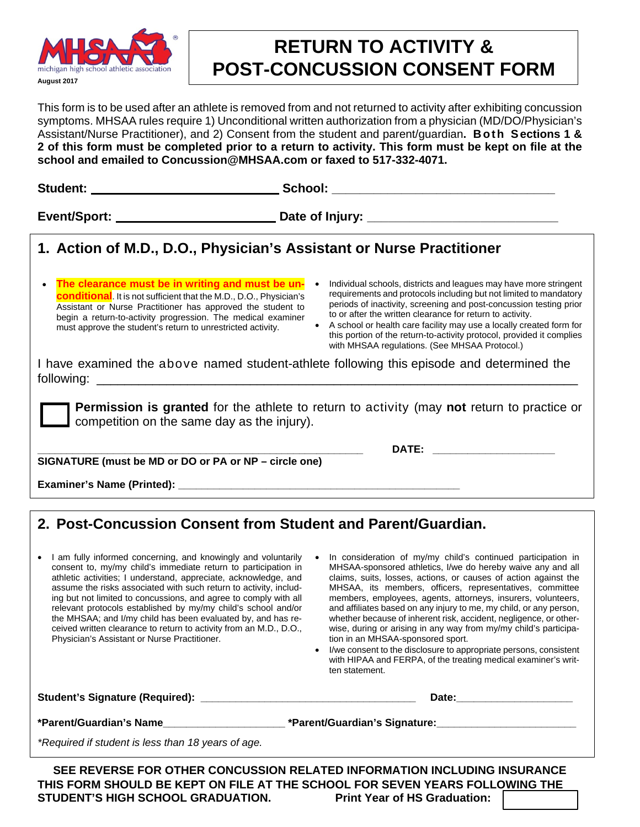

## **RETURN TO ACTIVITY & POST-CONCUSSION CONSENT FORM**

This form is to be used after an athlete is removed from and not returned to activity after exhibiting concussion symptoms. MHSAA rules require 1) Unconditional written authorization from a physician (MD/DO/Physician's Assistant/Nurse Practitioner), and 2) Consent from the student and parent/guardian**. Both Sections 1 & 2 of this form must be completed prior to a return to activity. This form must be kept on file at the school and emailed to Concussion@MHSAA.com or faxed to 517-332-4071.**

| 1. Action of M.D., D.O., Physician's Assistant or Nurse Practitioner                                                                                                                                                                                                                                                                      |                                                                                                                                                                                                                                                                                                                                                                                                                                                                                         |
|-------------------------------------------------------------------------------------------------------------------------------------------------------------------------------------------------------------------------------------------------------------------------------------------------------------------------------------------|-----------------------------------------------------------------------------------------------------------------------------------------------------------------------------------------------------------------------------------------------------------------------------------------------------------------------------------------------------------------------------------------------------------------------------------------------------------------------------------------|
| The clearance must be in writing and must be un-<br>$\bullet$<br><b>conditional</b> . It is not sufficient that the M.D., D.O., Physician's<br>Assistant or Nurse Practitioner has approved the student to<br>begin a return-to-activity progression. The medical examiner<br>must approve the student's return to unrestricted activity. | Individual schools, districts and leagues may have more stringent<br>$\bullet$<br>requirements and protocols including but not limited to mandatory<br>periods of inactivity, screening and post-concussion testing prior<br>to or after the written clearance for return to activity.<br>A school or health care facility may use a locally created form for<br>this portion of the return-to-activity protocol, provided it complies<br>with MHSAA regulations. (See MHSAA Protocol.) |
| I have examined the above named student-athlete following this episode and determined the                                                                                                                                                                                                                                                 |                                                                                                                                                                                                                                                                                                                                                                                                                                                                                         |
| <b>Permission is granted</b> for the athlete to return to activity (may not return to practice or<br>competition on the same day as the injury).                                                                                                                                                                                          |                                                                                                                                                                                                                                                                                                                                                                                                                                                                                         |
| SIGNATURE (must be MD or DO or PA or NP – circle one)                                                                                                                                                                                                                                                                                     | DATE: _______________________                                                                                                                                                                                                                                                                                                                                                                                                                                                           |
|                                                                                                                                                                                                                                                                                                                                           |                                                                                                                                                                                                                                                                                                                                                                                                                                                                                         |
|                                                                                                                                                                                                                                                                                                                                           |                                                                                                                                                                                                                                                                                                                                                                                                                                                                                         |

## **2. Post-Concussion Consent from Student and Parent/Guardian.**

- I am fully informed concerning, and knowingly and voluntarily consent to, my/my child's immediate return to participation in athletic activities; I understand, appreciate, acknowledge, and assume the risks associated with such return to activity, including but not limited to concussions, and agree to comply with all relevant protocols established by my/my child's school and/or the MHSAA; and I/my child has been evaluated by, and has received written clearance to return to activity from an M.D., D.O., Physician's Assistant or Nurse Practitioner.
- In consideration of my/my child's continued participation in MHSAA-sponsored athletics, I/we do hereby waive any and all claims, suits, losses, actions, or causes of action against the MHSAA, its members, officers, representatives, committee members, employees, agents, attorneys, insurers, volunteers, and affiliates based on any injury to me, my child, or any person, whether because of inherent risk, accident, negligence, or otherwise, during or arising in any way from my/my child's participation in an MHSAA-sponsored sport.
- I/we consent to the disclosure to appropriate persons, consistent with HIPAA and FERPA, of the treating medical examiner's written statement.

Student's Signature (Required): **with a student of the student's Signature** (Required): **\*Parent/Guardian's Name\_\_\_\_\_\_\_\_\_\_\_\_\_\_\_\_\_\_\_\_\_ \*Parent/Guardian's Signature:\_\_\_\_\_\_\_\_\_\_\_\_\_\_\_\_\_\_\_\_\_\_\_\_** *\*Required if student is less than 18 years of age.* **SEE REVERSE FOR OTHER CONCUSSION RELATED INFORMATION INCLUDING INSURANCE**

**THIS FORM SHOULD BE KEPT ON FILE AT THE SCHOOL FOR SEVEN YEARS FOLLOWING THE STUDENT'S HIGH SCHOOL GRADUATION.**